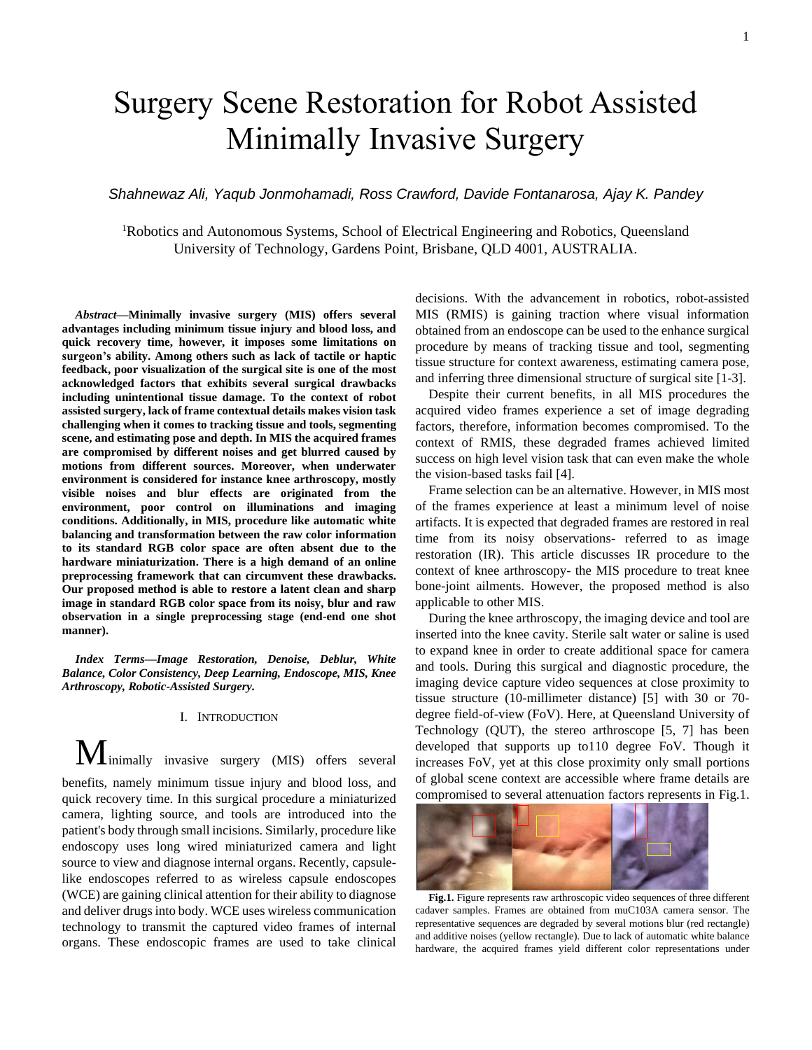# Surgery Scene Restoration for Robot Assisted Minimally Invasive Surgery

*Shahnewaz Ali, Yaqub Jonmohamadi, Ross Crawford, Davide Fontanarosa, Ajay K. Pandey*

<sup>1</sup>Robotics and Autonomous Systems, School of Electrical Engineering and Robotics, Queensland University of Technology, Gardens Point, Brisbane, QLD 4001, AUSTRALIA.

*Abstract***—Minimally invasive surgery (MIS) offers several advantages including minimum tissue injury and blood loss, and quick recovery time, however, it imposes some limitations on surgeon's ability. Among others such as lack of tactile or haptic feedback, poor visualization of the surgical site is one of the most acknowledged factors that exhibits several surgical drawbacks including unintentional tissue damage. To the context of robot assisted surgery, lack of frame contextual details makes vision task challenging when it comes to tracking tissue and tools, segmenting scene, and estimating pose and depth. In MIS the acquired frames are compromised by different noises and get blurred caused by motions from different sources. Moreover, when underwater environment is considered for instance knee arthroscopy, mostly visible noises and blur effects are originated from the environment, poor control on illuminations and imaging conditions. Additionally, in MIS, procedure like automatic white balancing and transformation between the raw color information to its standard RGB color space are often absent due to the hardware miniaturization. There is a high demand of an online preprocessing framework that can circumvent these drawbacks. Our proposed method is able to restore a latent clean and sharp image in standard RGB color space from its noisy, blur and raw observation in a single preprocessing stage (end-end one shot manner).**

*Index Terms—Image Restoration, Denoise, Deblur, White Balance, Color Consistency, Deep Learning, Endoscope, MIS, Knee Arthroscopy, Robotic-Assisted Surgery.*

## I. INTRODUCTION

 $M$ inimally invasive surgery (MIS) offers several benefits, namely minimum tissue injury and blood loss, and quick recovery time. In this surgical procedure a miniaturized camera, lighting source, and tools are introduced into the patient's body through small incisions. Similarly, procedure like endoscopy uses long wired miniaturized camera and light source to view and diagnose internal organs. Recently, capsulelike endoscopes referred to as wireless capsule endoscopes (WCE) are gaining clinical attention for their ability to diagnose and deliver drugs into body. WCE uses wireless communication technology to transmit the captured video frames of internal organs. These endoscopic frames are used to take clinical decisions. With the advancement in robotics, robot-assisted MIS (RMIS) is gaining traction where visual information obtained from an endoscope can be used to the enhance surgical procedure by means of tracking tissue and tool, segmenting tissue structure for context awareness, estimating camera pose, and inferring three dimensional structure of surgical site [1-3].

Despite their current benefits, in all MIS procedures the acquired video frames experience a set of image degrading factors, therefore, information becomes compromised. To the context of RMIS, these degraded frames achieved limited success on high level vision task that can even make the whole the vision-based tasks fail [4].

Frame selection can be an alternative. However, in MIS most of the frames experience at least a minimum level of noise artifacts. It is expected that degraded frames are restored in real time from its noisy observations- referred to as image restoration (IR). This article discusses IR procedure to the context of knee arthroscopy- the MIS procedure to treat knee bone-joint ailments. However, the proposed method is also applicable to other MIS.

During the knee arthroscopy, the imaging device and tool are inserted into the knee cavity. Sterile salt water or saline is used to expand knee in order to create additional space for camera and tools. During this surgical and diagnostic procedure, the imaging device capture video sequences at close proximity to tissue structure (10-millimeter distance) [5] with 30 or 70 degree field-of-view (FoV). Here, at Queensland University of Technology (QUT), the stereo arthroscope [5, 7] has been developed that supports up to110 degree FoV. Though it increases FoV, yet at this close proximity only small portions of global scene context are accessible where frame details are compromised to several attenuation factors represents in Fig.1.



**Fig.1.** Figure represents raw arthroscopic video sequences of three different cadaver samples. Frames are obtained from muC103A camera sensor. The representative sequences are degraded by several motions blur (red rectangle) and additive noises (yellow rectangle). Due to lack of automatic white balance hardware, the acquired frames yield different color representations under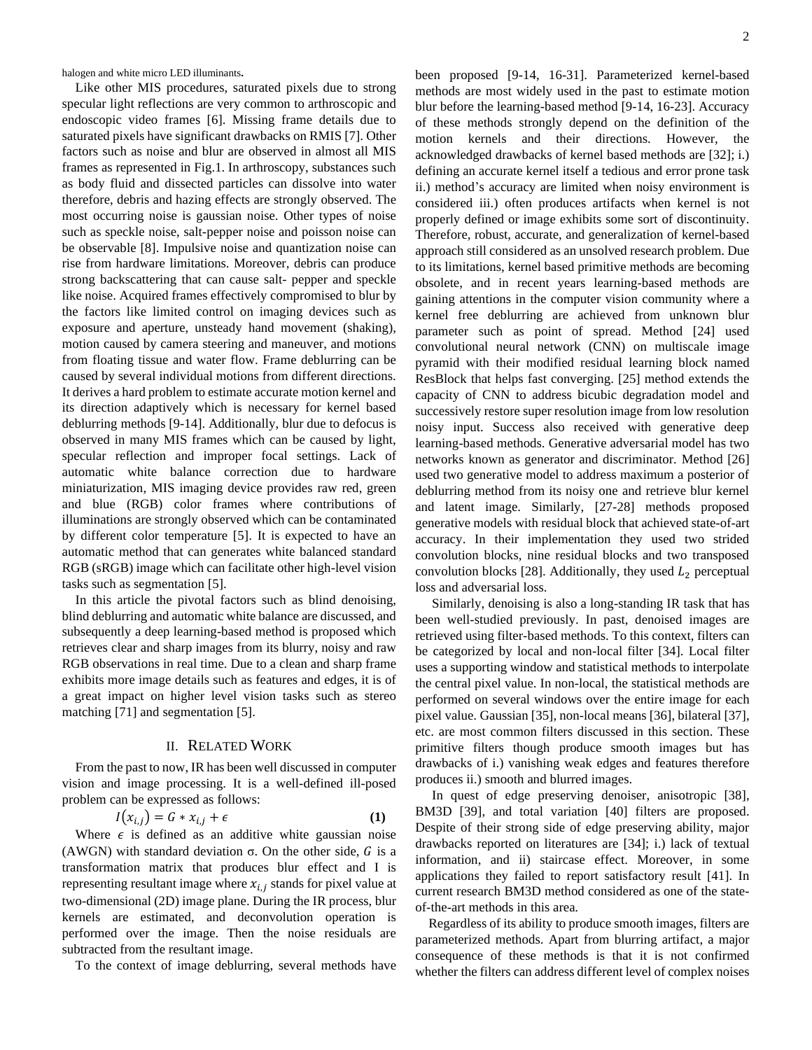halogen and white micro LED illuminants**.** 

Like other MIS procedures, saturated pixels due to strong specular light reflections are very common to arthroscopic and endoscopic video frames [6]. Missing frame details due to saturated pixels have significant drawbacks on RMIS [7]. Other factors such as noise and blur are observed in almost all MIS frames as represented in Fig.1. In arthroscopy, substances such as body fluid and dissected particles can dissolve into water therefore, debris and hazing effects are strongly observed. The most occurring noise is gaussian noise. Other types of noise such as speckle noise, salt-pepper noise and poisson noise can be observable [8]. Impulsive noise and quantization noise can rise from hardware limitations. Moreover, debris can produce strong backscattering that can cause salt- pepper and speckle like noise. Acquired frames effectively compromised to blur by the factors like limited control on imaging devices such as exposure and aperture, unsteady hand movement (shaking), motion caused by camera steering and maneuver, and motions from floating tissue and water flow. Frame deblurring can be caused by several individual motions from different directions. It derives a hard problem to estimate accurate motion kernel and its direction adaptively which is necessary for kernel based deblurring methods [9-14]. Additionally, blur due to defocus is observed in many MIS frames which can be caused by light, specular reflection and improper focal settings. Lack of automatic white balance correction due to hardware miniaturization, MIS imaging device provides raw red, green and blue (RGB) color frames where contributions of illuminations are strongly observed which can be contaminated by different color temperature [5]. It is expected to have an automatic method that can generates white balanced standard RGB (sRGB) image which can facilitate other high-level vision tasks such as segmentation [5].

In this article the pivotal factors such as blind denoising, blind deblurring and automatic white balance are discussed, and subsequently a deep learning-based method is proposed which retrieves clear and sharp images from its blurry, noisy and raw RGB observations in real time. Due to a clean and sharp frame exhibits more image details such as features and edges, it is of a great impact on higher level vision tasks such as stereo matching [71] and segmentation [5].

# II. RELATED WORK

From the past to now, IR has been well discussed in computer vision and image processing. It is a well-defined ill-posed problem can be expressed as follows:

$$
I(x_{i,j}) = G * x_{i,j} + \epsilon
$$
 (1)

Where  $\epsilon$  is defined as an additive white gaussian noise (AWGN) with standard deviation  $\sigma$ . On the other side,  $G$  is a transformation matrix that produces blur effect and I is representing resultant image where  $x_{i,j}$  stands for pixel value at two-dimensional (2D) image plane. During the IR process, blur kernels are estimated, and deconvolution operation is performed over the image. Then the noise residuals are subtracted from the resultant image.

To the context of image deblurring, several methods have

been proposed [9-14, 16-31]. Parameterized kernel-based methods are most widely used in the past to estimate motion blur before the learning-based method [9-14, 16-23]. Accuracy of these methods strongly depend on the definition of the motion kernels and their directions. However, the acknowledged drawbacks of kernel based methods are [32]; i.) defining an accurate kernel itself a tedious and error prone task ii.) method's accuracy are limited when noisy environment is considered iii.) often produces artifacts when kernel is not properly defined or image exhibits some sort of discontinuity. Therefore, robust, accurate, and generalization of kernel-based approach still considered as an unsolved research problem. Due to its limitations, kernel based primitive methods are becoming obsolete, and in recent years learning-based methods are gaining attentions in the computer vision community where a kernel free deblurring are achieved from unknown blur parameter such as point of spread. Method [24] used convolutional neural network (CNN) on multiscale image pyramid with their modified residual learning block named ResBlock that helps fast converging. [25] method extends the capacity of CNN to address bicubic degradation model and successively restore super resolution image from low resolution noisy input. Success also received with generative deep learning-based methods. Generative adversarial model has two networks known as generator and discriminator. Method [26] used two generative model to address maximum a posterior of deblurring method from its noisy one and retrieve blur kernel and latent image. Similarly, [27-28] methods proposed generative models with residual block that achieved state-of-art accuracy. In their implementation they used two strided convolution blocks, nine residual blocks and two transposed convolution blocks [28]. Additionally, they used  $L_2$  perceptual loss and adversarial loss.

Similarly, denoising is also a long-standing IR task that has been well-studied previously. In past, denoised images are retrieved using filter-based methods. To this context, filters can be categorized by local and non-local filter [34]. Local filter uses a supporting window and statistical methods to interpolate the central pixel value. In non-local, the statistical methods are performed on several windows over the entire image for each pixel value. Gaussian [35], non-local means [36], bilateral [37], etc. are most common filters discussed in this section. These primitive filters though produce smooth images but has drawbacks of i.) vanishing weak edges and features therefore produces ii.) smooth and blurred images.

In quest of edge preserving denoiser, anisotropic [38], BM3D [39], and total variation [40] filters are proposed. Despite of their strong side of edge preserving ability, major drawbacks reported on literatures are [34]; i.) lack of textual information, and ii) staircase effect. Moreover, in some applications they failed to report satisfactory result [41]. In current research BM3D method considered as one of the stateof-the-art methods in this area.

Regardless of its ability to produce smooth images, filters are parameterized methods. Apart from blurring artifact, a major consequence of these methods is that it is not confirmed whether the filters can address different level of complex noises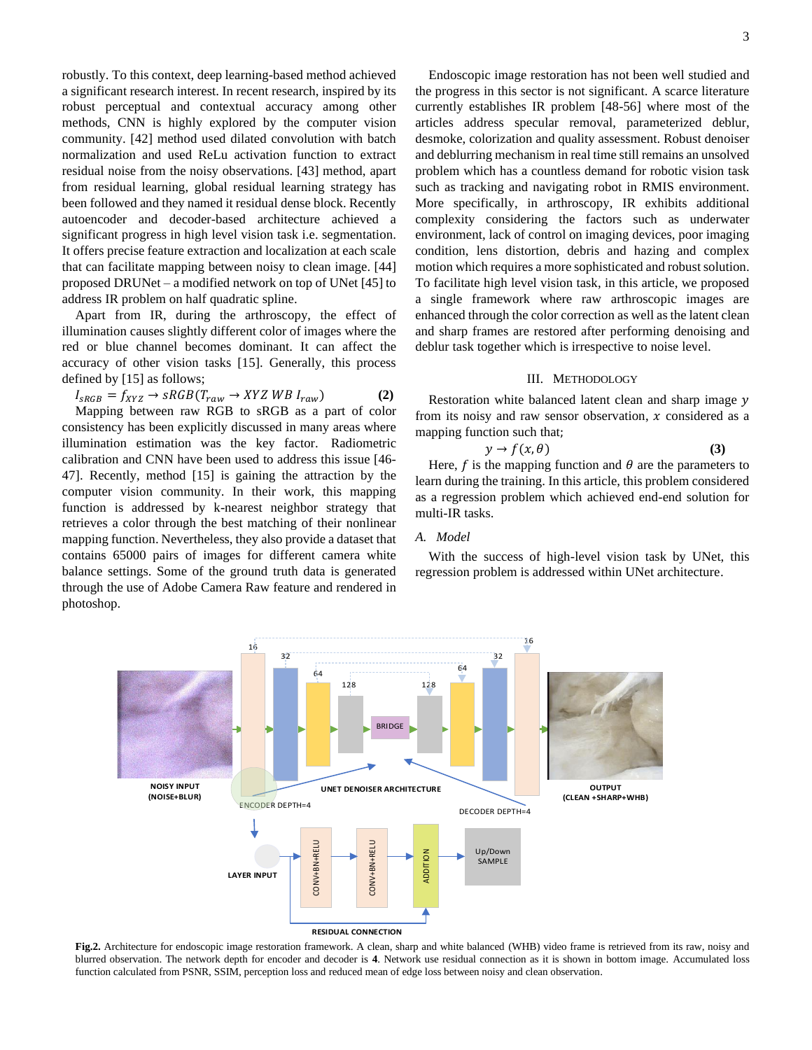robustly. To this context, deep learning-based method achieved a significant research interest. In recent research, inspired by its robust perceptual and contextual accuracy among other methods, CNN is highly explored by the computer vision community. [42] method used dilated convolution with batch normalization and used ReLu activation function to extract residual noise from the noisy observations. [43] method, apart from residual learning, global residual learning strategy has been followed and they named it residual dense block. Recently autoencoder and decoder-based architecture achieved a significant progress in high level vision task i.e. segmentation. It offers precise feature extraction and localization at each scale that can facilitate mapping between noisy to clean image. [44] proposed DRUNet – a modified network on top of UNet [45] to address IR problem on half quadratic spline.

Apart from IR, during the arthroscopy, the effect of illumination causes slightly different color of images where the red or blue channel becomes dominant. It can affect the accuracy of other vision tasks [15]. Generally, this process defined by [15] as follows;

$$
I_{sRGB} = f_{XYZ} \rightarrow sRGB(T_{raw} \rightarrow XYZWB I_{raw})
$$
 (2)

Mapping between raw RGB to sRGB as a part of color consistency has been explicitly discussed in many areas where illumination estimation was the key factor. Radiometric calibration and CNN have been used to address this issue [46- 47]. Recently, method [15] is gaining the attraction by the computer vision community. In their work, this mapping function is addressed by k-nearest neighbor strategy that retrieves a color through the best matching of their nonlinear mapping function. Nevertheless, they also provide a dataset that contains 65000 pairs of images for different camera white balance settings. Some of the ground truth data is generated through the use of Adobe Camera Raw feature and rendered in photoshop.  $16$ 

....<br>32<br>...

 $32$ 

 $16$ 

ENCODER DEPTH=4

**LAYER INPUT**

**(NOISE+BLUR)**

**UNET DENOISER ARCHITECTURE** 

 $\frac{1}{64}$ 

64

128

BRIDGE

CONV+BN+RELU<br>CONV+BN+RELU<br>ADDITION

**RESIDUAL CONNECTION**

Endoscopic image restoration has not been well studied and the progress in this sector is not significant. A scarce literature currently establishes IR problem [48-56] where most of the articles address specular removal, parameterized deblur, desmoke, colorization and quality assessment. Robust denoiser and deblurring mechanism in real time still remains an unsolved problem which has a countless demand for robotic vision task such as tracking and navigating robot in RMIS environment. More specifically, in arthroscopy, IR exhibits additional complexity considering the factors such as underwater environment, lack of control on imaging devices, poor imaging condition, lens distortion, debris and hazing and complex motion which requires a more sophisticated and robust solution. To facilitate high level vision task, in this article, we proposed a single framework where raw arthroscopic images are enhanced through the color correction as well as the latent clean and sharp frames are restored after performing denoising and deblur task together which is irrespective to noise level.

## III. METHODOLOGY

Restoration white balanced latent clean and sharp image y from its noisy and raw sensor observation,  $x$  considered as a

$$
y \to f(x, \theta) \tag{3}
$$

Here,  $f$  is the mapping function and  $\theta$  are the parameters to learn during the training. In this article, this problem considered as a regression problem which achieved end-end solution for

With the success of high-level vision task by UNet, this regression problem is addressed within UNet architecture.

> **OUTPUT (CLEAN +SHARP+WHB)**



 $\frac{3}{2}$   $\rightarrow$   $\frac{3}{2}$   $\rightarrow$   $\frac{1}{2}$   $\rightarrow$   $\frac{1}{2}$   $\rightarrow$   $\frac{1}{2}$   $\rightarrow$   $\frac{1}{2}$   $\rightarrow$   $\frac{1}{2}$   $\rightarrow$   $\frac{1}{2}$   $\rightarrow$   $\frac{1}{2}$   $\rightarrow$   $\frac{1}{2}$   $\rightarrow$   $\frac{1}{2}$   $\rightarrow$   $\frac{1}{2}$   $\rightarrow$   $\frac{1}{2}$   $\rightarrow$   $\frac{1}{2}$   $\rightarrow$   $\frac{1}{2}$ 



DECODER DEPTH=4

Up/Down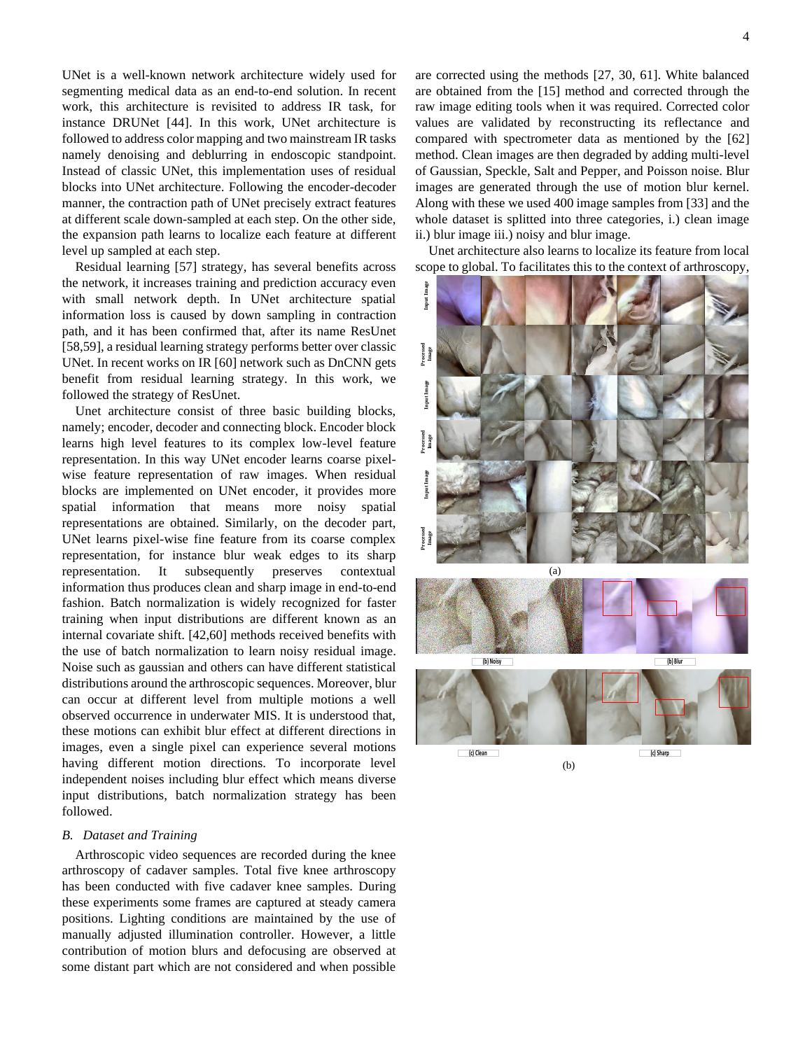UNet is a well-known network architecture widely used for segmenting medical data as an end-to-end solution. In recent work, this architecture is revisited to address IR task, for instance DRUNet [44]. In this work, UNet architecture is followed to address color mapping and two mainstream IR tasks namely denoising and deblurring in endoscopic standpoint. Instead of classic UNet, this implementation uses of residual blocks into UNet architecture. Following the encoder-decoder manner, the contraction path of UNet precisely extract features at different scale down-sampled at each step. On the other side, the expansion path learns to localize each feature at different level up sampled at each step.

Residual learning [57] strategy, has several benefits across the network, it increases training and prediction accuracy even with small network depth. In UNet architecture spatial information loss is caused by down sampling in contraction path, and it has been confirmed that, after its name ResUnet [58,59], a residual learning strategy performs better over classic UNet. In recent works on IR [60] network such as DnCNN gets benefit from residual learning strategy. In this work, we followed the strategy of ResUnet.

Unet architecture consist of three basic building blocks, namely; encoder, decoder and connecting block. Encoder block learns high level features to its complex low-level feature representation. In this way UNet encoder learns coarse pixelwise feature representation of raw images. When residual blocks are implemented on UNet encoder, it provides more spatial information that means more noisy spatial representations are obtained. Similarly, on the decoder part, UNet learns pixel-wise fine feature from its coarse complex representation, for instance blur weak edges to its sharp representation. It subsequently preserves contextual information thus produces clean and sharp image in end-to-end fashion. Batch normalization is widely recognized for faster training when input distributions are different known as an internal covariate shift. [42,60] methods received benefits with the use of batch normalization to learn noisy residual image. Noise such as gaussian and others can have different statistical distributions around the arthroscopic sequences. Moreover, blur can occur at different level from multiple motions a well observed occurrence in underwater MIS. It is understood that, these motions can exhibit blur effect at different directions in images, even a single pixel can experience several motions having different motion directions. To incorporate level independent noises including blur effect which means diverse input distributions, batch normalization strategy has been followed.

#### *B. Dataset and Training*

Arthroscopic video sequences are recorded during the knee arthroscopy of cadaver samples. Total five knee arthroscopy has been conducted with five cadaver knee samples. During these experiments some frames are captured at steady camera positions. Lighting conditions are maintained by the use of manually adjusted illumination controller. However, a little contribution of motion blurs and defocusing are observed at some distant part which are not considered and when possible

are corrected using the methods [27, 30, 61]. White balanced are obtained from the [15] method and corrected through the raw image editing tools when it was required. Corrected color values are validated by reconstructing its reflectance and compared with spectrometer data as mentioned by the [62] method. Clean images are then degraded by adding multi-level of Gaussian, Speckle, Salt and Pepper, and Poisson noise. Blur images are generated through the use of motion blur kernel. Along with these we used 400 image samples from [33] and the whole dataset is splitted into three categories, i.) clean image ii.) blur image iii.) noisy and blur image.

Unet architecture also learns to localize its feature from local scope to global. To facilitates this to the context of arthroscopy,



4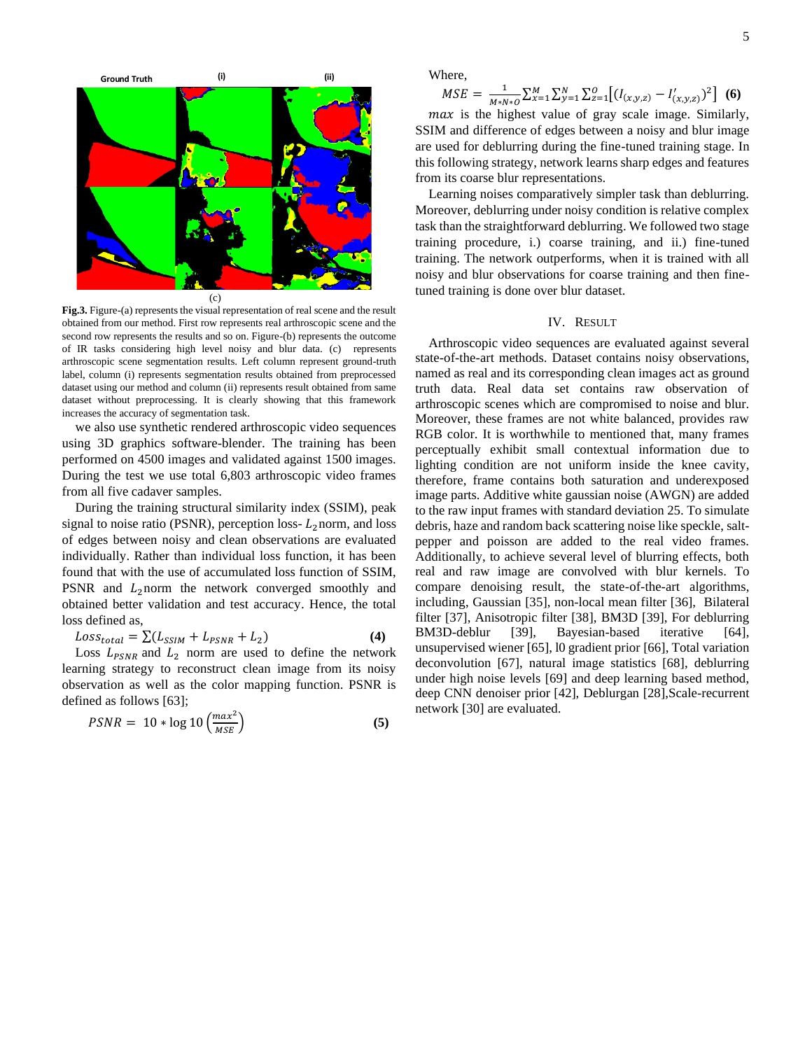

**Fig.3.** Figure-(a) represents the visual representation of real scene and the result obtained from our method. First row represents real arthroscopic scene and the second row represents the results and so on. Figure-(b) represents the outcome of IR tasks considering high level noisy and blur data. (c) represents arthroscopic scene segmentation results. Left column represent ground-truth label, column (i) represents segmentation results obtained from preprocessed dataset using our method and column (ii) represents result obtained from same dataset without preprocessing. It is clearly showing that this framework increases the accuracy of segmentation task.

we also use synthetic rendered arthroscopic video sequences using 3D graphics software-blender. The training has been performed on 4500 images and validated against 1500 images. During the test we use total 6,803 arthroscopic video frames from all five cadaver samples.

During the training structural similarity index (SSIM), peak signal to noise ratio (PSNR), perception loss- $L_2$ norm, and loss of edges between noisy and clean observations are evaluated individually. Rather than individual loss function, it has been found that with the use of accumulated loss function of SSIM, PSNR and  $L_2$  norm the network converged smoothly and obtained better validation and test accuracy. Hence, the total loss defined as,

$$
Loss_{total} = \sum (L_{SSIM} + L_{PSNR} + L_2)
$$
 (4)

Loss  $L_{PSNR}$  and  $L_2$  norm are used to define the network learning strategy to reconstruct clean image from its noisy observation as well as the color mapping function. PSNR is defined as follows [63];

$$
PSNR = 10 * \log 10 \left( \frac{max^2}{MSE} \right) \tag{5}
$$

Where,

 $MSE = \frac{1}{M}$  $\frac{1}{M*N*0} \sum_{x=1}^{M} \sum_{y=1}^{N} \sum_{z=1}^{O} \left[ (I_{(x,y,z)} - I'_{(x,y,z)})^2 \right]$  (6)

 $max$  is the highest value of gray scale image. Similarly, SSIM and difference of edges between a noisy and blur image are used for deblurring during the fine-tuned training stage. In this following strategy, network learns sharp edges and features from its coarse blur representations.

Learning noises comparatively simpler task than deblurring. Moreover, deblurring under noisy condition is relative complex task than the straightforward deblurring. We followed two stage training procedure, i.) coarse training, and ii.) fine-tuned training. The network outperforms, when it is trained with all noisy and blur observations for coarse training and then finetuned training is done over blur dataset.

## IV. RESULT

Arthroscopic video sequences are evaluated against several state-of-the-art methods. Dataset contains noisy observations, named as real and its corresponding clean images act as ground truth data. Real data set contains raw observation of arthroscopic scenes which are compromised to noise and blur. Moreover, these frames are not white balanced, provides raw RGB color. It is worthwhile to mentioned that, many frames perceptually exhibit small contextual information due to lighting condition are not uniform inside the knee cavity, therefore, frame contains both saturation and underexposed image parts. Additive white gaussian noise (AWGN) are added to the raw input frames with standard deviation 25. To simulate debris, haze and random back scattering noise like speckle, saltpepper and poisson are added to the real video frames. Additionally, to achieve several level of blurring effects, both real and raw image are convolved with blur kernels. To compare denoising result, the state-of-the-art algorithms, including, Gaussian [35], non-local mean filter [36], Bilateral filter [37], Anisotropic filter [38], BM3D [39], For deblurring BM3D-deblur [39], Bayesian-based iterative [64], unsupervised wiener [65], l0 gradient prior [66], Total variation deconvolution [67], natural image statistics [68], deblurring under high noise levels [69] and deep learning based method, deep CNN denoiser prior [42], Deblurgan [28],Scale-recurrent network [30] are evaluated.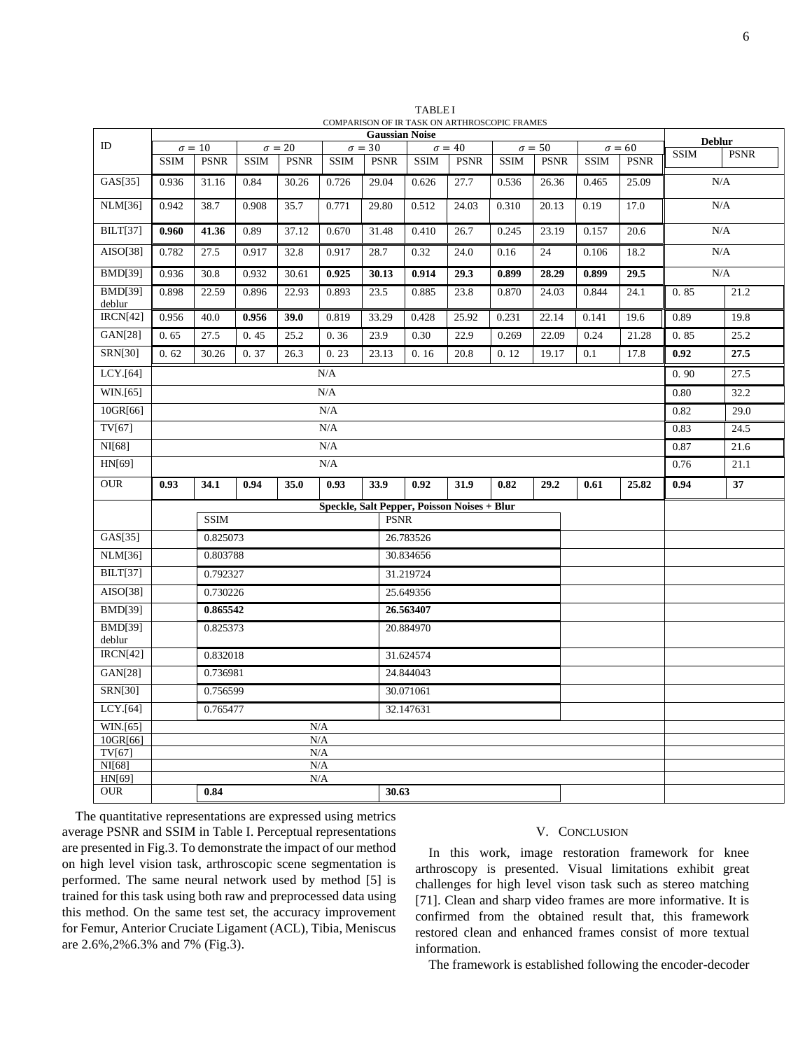|                          | <b>Gaussian Noise</b>                                                     |               |             |                                |             |             |               |             |               |             |             |               | <b>Deblur</b> |             |
|--------------------------|---------------------------------------------------------------------------|---------------|-------------|--------------------------------|-------------|-------------|---------------|-------------|---------------|-------------|-------------|---------------|---------------|-------------|
| ID                       |                                                                           | $\sigma = 10$ |             | $\sigma = 20$<br>$\sigma = 30$ |             |             | $\sigma = 40$ |             | $\sigma = 50$ |             |             | $\sigma = 60$ | <b>SSIM</b>   | <b>PSNR</b> |
|                          | <b>SSIM</b>                                                               | <b>PSNR</b>   | <b>SSIM</b> | <b>PSNR</b>                    | <b>SSIM</b> | <b>PSNR</b> | <b>SSIM</b>   | <b>PSNR</b> | <b>SSIM</b>   | <b>PSNR</b> | <b>SSIM</b> | <b>PSNR</b>   |               |             |
| GAS[35]                  | 0.936                                                                     | 31.16         | 0.84        | 30.26                          | 0.726       | 29.04       | 0.626         | 27.7        | 0.536         | 26.36       | 0.465       | 25.09         | N/A           |             |
| <b>NLM[36]</b>           | 0.942                                                                     | 38.7          | 0.908       | 35.7                           | 0.771       | 29.80       | 0.512         | 24.03       | 0.310         | 20.13       | 0.19        | 17.0          | N/A           |             |
| <b>BILT[37]</b>          | 0.960                                                                     | 41.36         | 0.89        | 37.12                          | 0.670       | 31.48       | 0.410         | 26.7        | 0.245         | 23.19       | 0.157       | 20.6          | $\rm N/A$     |             |
| AISO[38]                 | 0.782                                                                     | 27.5          | 0.917       | 32.8                           | 0.917       | 28.7        | 0.32          | 24.0        | 0.16          | 24          | 0.106       | 18.2          | N/A           |             |
| <b>BMD[39]</b>           | 0.936                                                                     | 30.8          | 0.932       | 30.61                          | 0.925       | 30.13       | 0.914         | 29.3        | 0.899         | 28.29       | 0.899       | 29.5          | N/A           |             |
| <b>BMD[39]</b><br>deblur | 0.898                                                                     | 22.59         | 0.896       | 22.93                          | 0.893       | 23.5        | 0.885         | 23.8        | 0.870         | 24.03       | 0.844       | 24.1          | 0.85          | 21.2        |
| <b>IRCN[42]</b>          | 0.956                                                                     | 40.0          | 0.956       | 39.0                           | 0.819       | 33.29       | 0.428         | 25.92       | 0.231         | 22.14       | 0.141       | 19.6          | 0.89          | 19.8        |
| GAN[28]                  | 0.65                                                                      | 27.5          | 0.45        | 25.2                           | 0.36        | 23.9        | 0.30          | 22.9        | 0.269         | 22.09       | 0.24        | 21.28         | 0.85          | 25.2        |
| <b>SRN[30]</b>           | 0.62                                                                      | 30.26         | 0.37        | 26.3                           | 0.23        | 23.13       | 0.16          | 20.8        | 0.12          | 19.17       | 0.1         | 17.8          | 0.92          | 27.5        |
| LCY.[64]                 | N/A                                                                       |               |             |                                |             |             |               |             |               |             |             | 0.90          | 27.5          |             |
| WIN.[65]                 | N/A                                                                       |               |             |                                |             |             |               |             |               |             |             |               | 0.80          | 32.2        |
| 10GR[66]                 | $\rm N/A$                                                                 |               |             |                                |             |             |               |             |               |             |             | 0.82          | 29.0          |             |
| TV[67]                   | N/A                                                                       |               |             |                                |             |             |               |             |               |             |             |               | 0.83          | 24.5        |
| NI[68]                   | N/A                                                                       |               |             |                                |             |             |               |             |               |             |             |               | 0.87          | 21.6        |
| HN[69]                   | N/A                                                                       |               |             |                                |             |             |               |             |               |             |             |               | 0.76          | 21.1        |
| <b>OUR</b>               | 0.93                                                                      | 34.1          | 0.94        | 35.0                           | 0.93        | 33.9        | 0.92          | 31.9        | 0.82          | 29.2        | 0.61        | 25.82         | 0.94          | 37          |
|                          | Speckle, Salt Pepper, Poisson Noises + Blur<br><b>SSIM</b><br><b>PSNR</b> |               |             |                                |             |             |               |             |               |             |             |               |               |             |
| GAS[35]                  | 0.825073                                                                  |               |             |                                |             |             | 26.783526     |             |               |             |             |               |               |             |
| <b>NLM[36]</b>           | 0.803788                                                                  |               |             |                                |             |             | 30.834656     |             |               |             |             |               |               |             |
| <b>BILT[37]</b>          | 0.792327                                                                  |               |             |                                |             |             | 31.219724     |             |               |             |             |               |               |             |
| AISO[38]                 | 0.730226                                                                  |               |             |                                |             |             | 25.649356     |             |               |             |             |               |               |             |
| <b>BMD[39]</b>           |                                                                           | 0.865542      |             |                                |             |             | 26.563407     |             |               |             |             |               |               |             |
| <b>BMD[39]</b><br>deblur |                                                                           | 0.825373      |             |                                |             |             | 20.884970     |             |               |             |             |               |               |             |
| IRCN[42]                 |                                                                           | 0.832018      |             |                                |             |             | 31.624574     |             |               |             |             |               |               |             |
| GAN[28]                  |                                                                           | 0.736981      |             |                                |             |             | 24.844043     |             |               |             |             |               |               |             |
| <b>SRN[30]</b>           |                                                                           | 0.756599      |             |                                |             |             | 30.071061     |             |               |             |             |               |               |             |
| LCY.[64]                 |                                                                           | 0.765477      |             |                                |             |             | 32.147631     |             |               |             |             |               |               |             |
| WIN.[65]                 | N/A                                                                       |               |             |                                |             |             |               |             |               |             |             |               |               |             |
| 10GR[66]                 |                                                                           |               |             | $\rm N/A$                      |             |             |               |             |               |             |             |               |               |             |
| TV[67]                   |                                                                           |               |             | $\rm N/A$                      |             |             |               |             |               |             |             |               |               |             |
| NI[68]                   |                                                                           |               |             | N/A                            |             |             |               |             |               |             |             |               |               |             |
| HN[69]                   | $\rm N/A$                                                                 |               |             |                                |             |             |               |             |               |             |             |               |               |             |
| <b>OUR</b>               | 0.84                                                                      |               |             |                                |             |             | 30.63         |             |               |             |             |               |               |             |

TABLE I COMPARISON OF IR TASK ON ARTHROSCOPIC FRAMES

The quantitative representations are expressed using metrics average PSNR and SSIM in Table I. Perceptual representations are presented in Fig.3. To demonstrate the impact of our method on high level vision task, arthroscopic scene segmentation is performed. The same neural network used by method [5] is trained for this task using both raw and preprocessed data using this method. On the same test set, the accuracy improvement for Femur, Anterior Cruciate Ligament (ACL), Tibia, Meniscus are 2.6%,2%6.3% and 7% (Fig.3).

# V. CONCLUSION

In this work, image restoration framework for knee arthroscopy is presented. Visual limitations exhibit great challenges for high level vison task such as stereo matching [71]. Clean and sharp video frames are more informative. It is confirmed from the obtained result that, this framework restored clean and enhanced frames consist of more textual information.

The framework is established following the encoder-decoder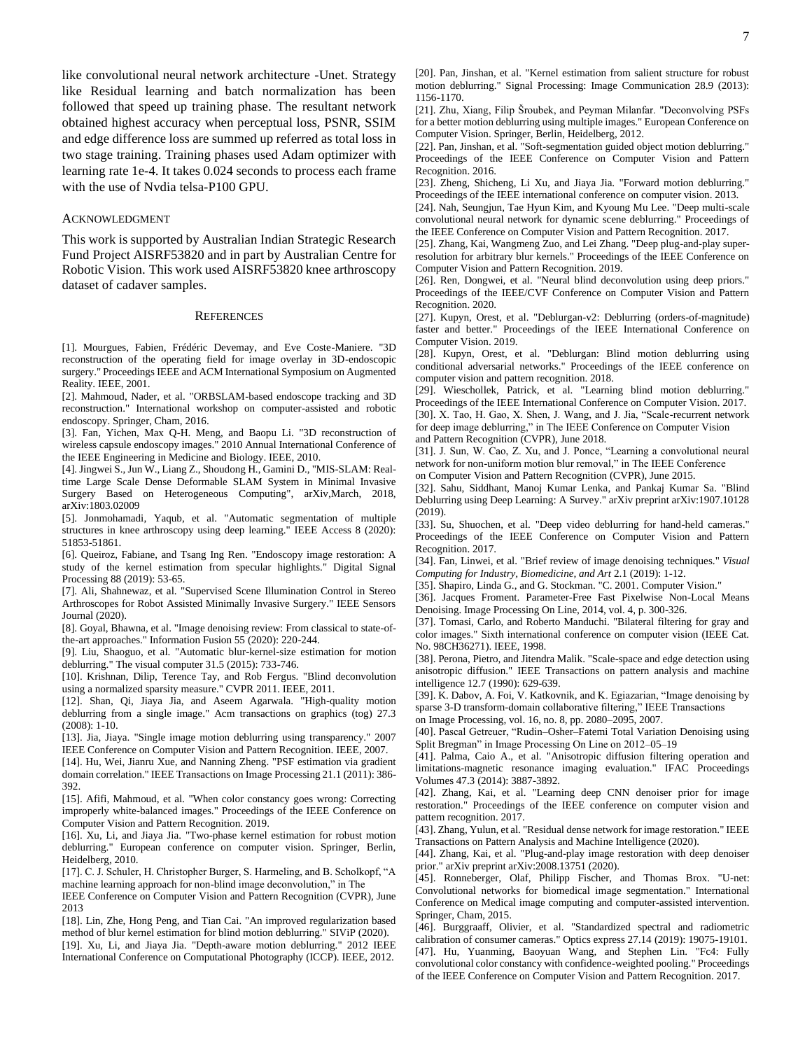like convolutional neural network architecture -Unet. Strategy like Residual learning and batch normalization has been followed that speed up training phase. The resultant network obtained highest accuracy when perceptual loss, PSNR, SSIM and edge difference loss are summed up referred as total loss in two stage training. Training phases used Adam optimizer with learning rate 1e-4. It takes 0.024 seconds to process each frame with the use of Nvdia telsa-P100 GPU.

#### ACKNOWLEDGMENT

This work is supported by Australian Indian Strategic Research Fund Project AISRF53820 and in part by Australian Centre for Robotic Vision. This work used AISRF53820 knee arthroscopy dataset of cadaver samples.

#### **REFERENCES**

[1]. Mourgues, Fabien, Frédéric Devemay, and Eve Coste-Maniere. "3D reconstruction of the operating field for image overlay in 3D-endoscopic surgery." Proceedings IEEE and ACM International Symposium on Augmented Reality. IEEE, 2001.

[2]. Mahmoud, Nader, et al. "ORBSLAM-based endoscope tracking and 3D reconstruction." International workshop on computer-assisted and robotic endoscopy. Springer, Cham, 2016.

[3]. Fan, Yichen, Max Q-H. Meng, and Baopu Li. "3D reconstruction of wireless capsule endoscopy images." 2010 Annual International Conference of the IEEE Engineering in Medicine and Biology. IEEE, 2010.

[4]. Jingwei S., Jun W., Liang Z., Shoudong H., Gamini D., "MIS-SLAM: Realtime Large Scale Dense Deformable SLAM System in Minimal Invasive Surgery Based on Heterogeneous Computing", arXiv,March, 2018, arXiv:1803.02009

[5]. Jonmohamadi, Yaqub, et al. "Automatic segmentation of multiple structures in knee arthroscopy using deep learning." IEEE Access 8 (2020): 51853-51861.

[6]. Queiroz, Fabiane, and Tsang Ing Ren. "Endoscopy image restoration: A study of the kernel estimation from specular highlights." Digital Signal Processing 88 (2019): 53-65.

[7]. Ali, Shahnewaz, et al. "Supervised Scene Illumination Control in Stereo Arthroscopes for Robot Assisted Minimally Invasive Surgery." IEEE Sensors Journal (2020).

[8]. Goyal, Bhawna, et al. "Image denoising review: From classical to state-ofthe-art approaches." Information Fusion 55 (2020): 220-244.

[9]. Liu, Shaoguo, et al. "Automatic blur-kernel-size estimation for motion deblurring." The visual computer 31.5 (2015): 733-746.

[10]. Krishnan, Dilip, Terence Tay, and Rob Fergus. "Blind deconvolution using a normalized sparsity measure." CVPR 2011. IEEE, 2011.

[12]. Shan, Qi, Jiaya Jia, and Aseem Agarwala. "High-quality motion deblurring from a single image." Acm transactions on graphics (tog) 27.3 (2008): 1-10.

[13]. Jia, Jiaya. "Single image motion deblurring using transparency." 2007 IEEE Conference on Computer Vision and Pattern Recognition. IEEE, 2007.

[14]. Hu, Wei, Jianru Xue, and Nanning Zheng. "PSF estimation via gradient domain correlation." IEEE Transactions on Image Processing 21.1 (2011): 386- 392.

[15]. Afifi, Mahmoud, et al. "When color constancy goes wrong: Correcting improperly white-balanced images." Proceedings of the IEEE Conference on Computer Vision and Pattern Recognition. 2019.

[16]. Xu, Li, and Jiaya Jia. "Two-phase kernel estimation for robust motion deblurring." European conference on computer vision. Springer, Berlin, Heidelberg, 2010.

[17]. C. J. Schuler, H. Christopher Burger, S. Harmeling, and B. Scholkopf, "A machine learning approach for non-blind image deconvolution," in The

IEEE Conference on Computer Vision and Pattern Recognition (CVPR), June 2013

[18]. Lin, Zhe, Hong Peng, and Tian Cai. "An improved regularization based method of blur kernel estimation for blind motion deblurring." SIViP (2020).

[19]. Xu, Li, and Jiaya Jia. "Depth-aware motion deblurring." 2012 IEEE International Conference on Computational Photography (ICCP). IEEE, 2012.

[20]. Pan, Jinshan, et al. "Kernel estimation from salient structure for robust motion deblurring." Signal Processing: Image Communication 28.9 (2013): 1156-1170.

[21]. Zhu, Xiang, Filip Šroubek, and Peyman Milanfar. "Deconvolving PSFs for a better motion deblurring using multiple images." European Conference on Computer Vision. Springer, Berlin, Heidelberg, 2012.

[22]. Pan, Jinshan, et al. "Soft-segmentation guided object motion deblurring." Proceedings of the IEEE Conference on Computer Vision and Pattern Recognition. 2016.

[23]. Zheng, Shicheng, Li Xu, and Jiaya Jia. "Forward motion deblurring." Proceedings of the IEEE international conference on computer vision. 2013.

[24]. Nah, Seungjun, Tae Hyun Kim, and Kyoung Mu Lee. "Deep multi-scale convolutional neural network for dynamic scene deblurring." Proceedings of the IEEE Conference on Computer Vision and Pattern Recognition. 2017.

[25]. Zhang, Kai, Wangmeng Zuo, and Lei Zhang. "Deep plug-and-play superresolution for arbitrary blur kernels." Proceedings of the IEEE Conference on Computer Vision and Pattern Recognition. 2019.

[26]. Ren, Dongwei, et al. "Neural blind deconvolution using deep priors." Proceedings of the IEEE/CVF Conference on Computer Vision and Pattern Recognition. 2020.

[27]. Kupyn, Orest, et al. "Deblurgan-v2: Deblurring (orders-of-magnitude) faster and better." Proceedings of the IEEE International Conference on Computer Vision. 2019.

[28]. Kupyn, Orest, et al. "Deblurgan: Blind motion deblurring using conditional adversarial networks." Proceedings of the IEEE conference on computer vision and pattern recognition. 2018.

[29]. Wieschollek, Patrick, et al. "Learning blind motion deblurring." Proceedings of the IEEE International Conference on Computer Vision. 2017.

[30]. X. Tao, H. Gao, X. Shen, J. Wang, and J. Jia, "Scale-recurrent network for deep image deblurring," in The IEEE Conference on Computer Vision and Pattern Recognition (CVPR), June 2018.

[31]. J. Sun, W. Cao, Z. Xu, and J. Ponce, "Learning a convolutional neural network for non-uniform motion blur removal," in The IEEE Conference on Computer Vision and Pattern Recognition (CVPR), June 2015.

[32]. Sahu, Siddhant, Manoj Kumar Lenka, and Pankaj Kumar Sa. "Blind

Deblurring using Deep Learning: A Survey." arXiv preprint arXiv:1907.10128 (2019).

[33]. Su, Shuochen, et al. "Deep video deblurring for hand-held cameras." Proceedings of the IEEE Conference on Computer Vision and Pattern Recognition. 2017.

[34]. Fan, Linwei, et al. "Brief review of image denoising techniques." *Visual Computing for Industry, Biomedicine, and Art* 2.1 (2019): 1-12.

[35]. Shapiro, Linda G., and G. Stockman. "C. 2001. Computer Vision."

[36]. Jacques Froment. Parameter-Free Fast Pixelwise Non-Local Means Denoising. Image Processing On Line, 2014, vol. 4, p. 300-326.

[37]. Tomasi, Carlo, and Roberto Manduchi. "Bilateral filtering for gray and color images." Sixth international conference on computer vision (IEEE Cat. No. 98CH36271). IEEE, 1998.

[38]. Perona, Pietro, and Jitendra Malik. "Scale-space and edge detection using anisotropic diffusion." IEEE Transactions on pattern analysis and machine intelligence 12.7 (1990): 629-639.

[39]. K. Dabov, A. Foi, V. Katkovnik, and K. Egiazarian, "Image denoising by sparse 3-D transform-domain collaborative filtering," IEEE Transactions

on Image Processing, vol. 16, no. 8, pp. 2080–2095, 2007.

[40]. Pascal Getreuer, "Rudin-Osher-Fatemi Total Variation Denoising using Split Bregman" in Image Processing On Line on 2012–05–19

[41]. Palma, Caio A., et al. "Anisotropic diffusion filtering operation and limitations-magnetic resonance imaging evaluation." IFAC Proceedings Volumes 47.3 (2014): 3887-3892.

[42]. Zhang, Kai, et al. "Learning deep CNN denoiser prior for image restoration." Proceedings of the IEEE conference on computer vision and pattern recognition. 2017.

[43]. Zhang, Yulun, et al. "Residual dense network for image restoration." IEEE Transactions on Pattern Analysis and Machine Intelligence (2020).

[44]. Zhang, Kai, et al. "Plug-and-play image restoration with deep denoiser prior." arXiv preprint arXiv:2008.13751 (2020).

[45]. Ronneberger, Olaf, Philipp Fischer, and Thomas Brox. "U-net: Convolutional networks for biomedical image segmentation." International Conference on Medical image computing and computer-assisted intervention. Springer, Cham, 2015.

[46]. Burggraaff, Olivier, et al. "Standardized spectral and radiometric calibration of consumer cameras." Optics express 27.14 (2019): 19075-19101. [47]. Hu, Yuanming, Baoyuan Wang, and Stephen Lin. "Fc4: Fully convolutional color constancy with confidence-weighted pooling." Proceedings of the IEEE Conference on Computer Vision and Pattern Recognition. 2017.